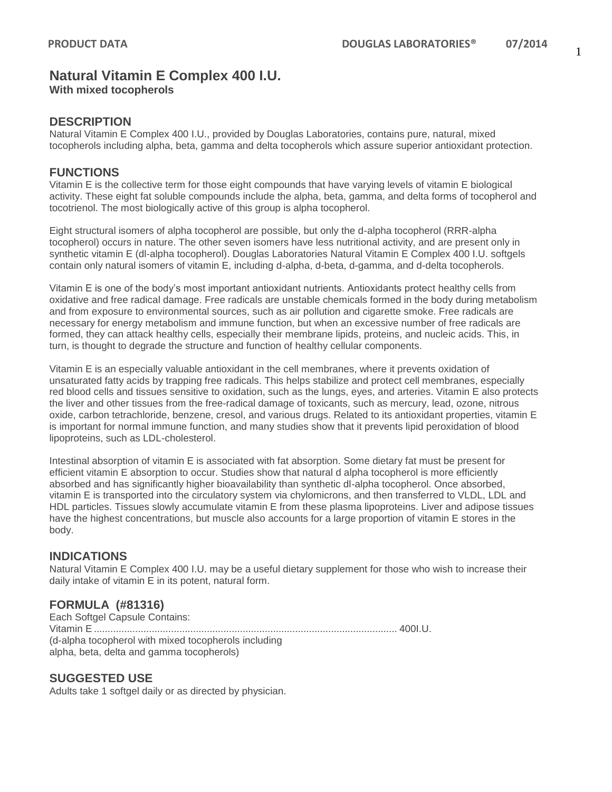# **Natural Vitamin E Complex 400 I.U.**

**With mixed tocopherols**

### **DESCRIPTION**

Natural Vitamin E Complex 400 I.U., provided by Douglas Laboratories, contains pure, natural, mixed tocopherols including alpha, beta, gamma and delta tocopherols which assure superior antioxidant protection.

### **FUNCTIONS**

Vitamin E is the collective term for those eight compounds that have varying levels of vitamin E biological activity. These eight fat soluble compounds include the alpha, beta, gamma, and delta forms of tocopherol and tocotrienol. The most biologically active of this group is alpha tocopherol.

Eight structural isomers of alpha tocopherol are possible, but only the d-alpha tocopherol (RRR-alpha tocopherol) occurs in nature. The other seven isomers have less nutritional activity, and are present only in synthetic vitamin E (dl-alpha tocopherol). Douglas Laboratories Natural Vitamin E Complex 400 I.U. softgels contain only natural isomers of vitamin E, including d-alpha, d-beta, d-gamma, and d-delta tocopherols.

Vitamin E is one of the body's most important antioxidant nutrients. Antioxidants protect healthy cells from oxidative and free radical damage. Free radicals are unstable chemicals formed in the body during metabolism and from exposure to environmental sources, such as air pollution and cigarette smoke. Free radicals are necessary for energy metabolism and immune function, but when an excessive number of free radicals are formed, they can attack healthy cells, especially their membrane lipids, proteins, and nucleic acids. This, in turn, is thought to degrade the structure and function of healthy cellular components.

Vitamin E is an especially valuable antioxidant in the cell membranes, where it prevents oxidation of unsaturated fatty acids by trapping free radicals. This helps stabilize and protect cell membranes, especially red blood cells and tissues sensitive to oxidation, such as the lungs, eyes, and arteries. Vitamin E also protects the liver and other tissues from the free-radical damage of toxicants, such as mercury, lead, ozone, nitrous oxide, carbon tetrachloride, benzene, cresol, and various drugs. Related to its antioxidant properties, vitamin E is important for normal immune function, and many studies show that it prevents lipid peroxidation of blood lipoproteins, such as LDL-cholesterol.

Intestinal absorption of vitamin E is associated with fat absorption. Some dietary fat must be present for efficient vitamin E absorption to occur. Studies show that natural d alpha tocopherol is more efficiently absorbed and has significantly higher bioavailability than synthetic dl-alpha tocopherol. Once absorbed, vitamin E is transported into the circulatory system via chylomicrons, and then transferred to VLDL, LDL and HDL particles. Tissues slowly accumulate vitamin E from these plasma lipoproteins. Liver and adipose tissues have the highest concentrations, but muscle also accounts for a large proportion of vitamin E stores in the body.

### **INDICATIONS**

Natural Vitamin E Complex 400 I.U. may be a useful dietary supplement for those who wish to increase their daily intake of vitamin E in its potent, natural form.

### **FORMULA (#81316)**

Each Softgel Capsule Contains: Vitamin E.............................................................................................................. 400I.U. (d-alpha tocopherol with mixed tocopherols including alpha, beta, delta and gamma tocopherols)

### **SUGGESTED USE**

Adults take 1 softgel daily or as directed by physician.